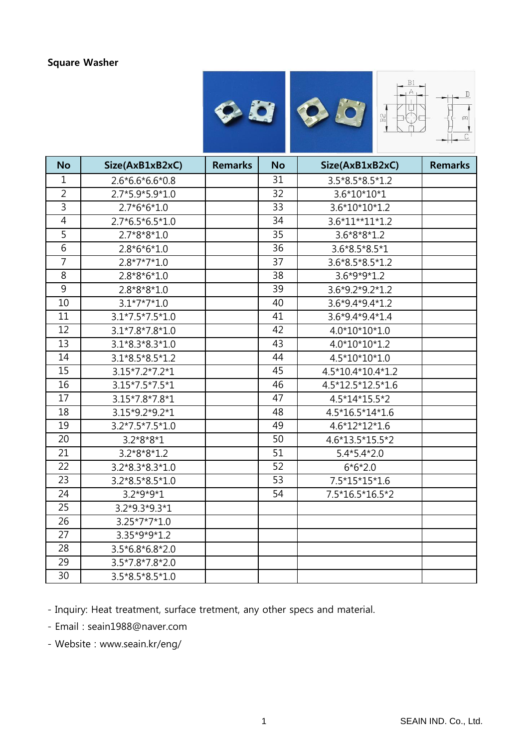#### Square Washer



| <b>No</b>       | Size(AxB1xB2xC)   | <b>Remarks</b> | <b>No</b>       | Size(AxB1xB2xC)   | <b>Remarks</b> |
|-----------------|-------------------|----------------|-----------------|-------------------|----------------|
| 1               | $2.6*6.6*6.6*0.8$ |                | 31              | 3.5*8.5*8.5*1.2   |                |
| $\overline{2}$  | 2.7*5.9*5.9*1.0   |                | 32              | 3.6*10*10*1       |                |
| 3               | $2.7*6*6*1.0$     |                | 33              | 3.6*10*10*1.2     |                |
| $\overline{4}$  | $2.7*6.5*6.5*1.0$ |                | 34              | 3.6*11**11*1.2    |                |
| 5               | $2.7*8*8*1.0$     |                | 35              | $3.6*8*8*1.2$     |                |
| 6               | $2.8*6*6*1.0$     |                | 36              | 3.6*8.5*8.5*1     |                |
| $\overline{7}$  | $2.8*7*7*1.0$     |                | 37              | 3.6*8.5*8.5*1.2   |                |
| 8               | $2.8*8*6*1.0$     |                | 38              | $3.6*9*9*1.2$     |                |
| 9               | $2.8*8*8*1.0$     |                | 39              | 3.6*9.2*9.2*1.2   |                |
| 10              | $3.1*7*7*1.0$     |                | 40              | 3.6*9.4*9.4*1.2   |                |
| 11              | $3.1*7.5*7.5*1.0$ |                | 41              | $3.6*9.4*9.4*1.4$ |                |
| 12              | $3.1*7.8*7.8*1.0$ |                | 42              | 4.0*10*10*1.0     |                |
| 13              | $3.1*8.3*8.3*1.0$ |                | 43              | 4.0*10*10*1.2     |                |
| 14              | $3.1*8.5*8.5*1.2$ |                | 44              | 4.5*10*10*1.0     |                |
| 15              | 3.15*7.2*7.2*1    |                | 45              | 4.5*10.4*10.4*1.2 |                |
| 16              | 3.15*7.5*7.5*1    |                | 46              | 4.5*12.5*12.5*1.6 |                |
| 17              | 3.15*7.8*7.8*1    |                | 47              | 4.5*14*15.5*2     |                |
| 18              | 3.15*9.2*9.2*1    |                | 48              | 4.5*16.5*14*1.6   |                |
| 19              | $3.2*7.5*7.5*1.0$ |                | 49              | $4.6*12*12*1.6$   |                |
| $\overline{20}$ | $3.2*8*8*1$       |                | $\overline{50}$ | 4.6*13.5*15.5*2   |                |
| 21              | $3.2*8*8*1.2$     |                | 51              | $5.4*5.4*2.0$     |                |
| 22              | $3.2*8.3*8.3*1.0$ |                | 52              | $6*6*2.0$         |                |
| $\overline{23}$ | 3.2*8.5*8.5*1.0   |                | 53              | $7.5*15*15*1.6$   |                |
| 24              | $3.2*9*9*1$       |                | 54              | 7.5*16.5*16.5*2   |                |
| 25              | 3.2*9.3*9.3*1     |                |                 |                   |                |
| 26              | $3.25*7*7*1.0$    |                |                 |                   |                |
| 27              | 3.35*9*9*1.2      |                |                 |                   |                |
| 28              | $3.5*6.8*6.8*2.0$ |                |                 |                   |                |
| 29              | $3.5*7.8*7.8*2.0$ |                |                 |                   |                |
| 30              | 3.5*8.5*8.5*1.0   |                |                 |                   |                |

- Inquiry: Heat treatment, surface tretment, any other specs and material.

- Email : seain1988@naver.com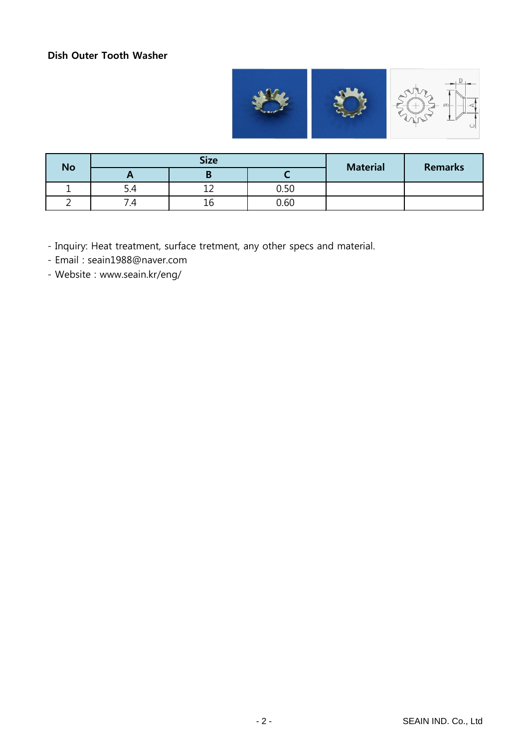# Dish Outer Tooth Washer



| <b>No</b> | <b>Size</b> |        |      | <b>Material</b> | <b>Remarks</b> |
|-----------|-------------|--------|------|-----------------|----------------|
|           | $\sqrt{ }$  |        |      |                 |                |
|           | D.4         | ∽<br>∸ | 0.50 |                 |                |
|           | .- т        | Τp     | 0.60 |                 |                |

- Inquiry: Heat treatment, surface tretment, any other specs and material.

- Email : seain1988@naver.com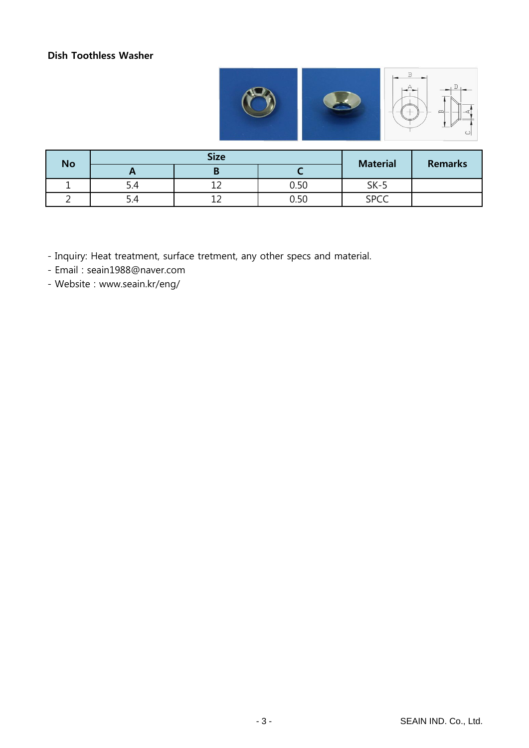### Dish Toothless Washer



| <b>No</b> |     | <b>Size</b> | <b>Material</b> | <b>Remarks</b> |  |
|-----------|-----|-------------|-----------------|----------------|--|
|           |     |             |                 |                |  |
|           | 5.4 |             | 0.50            | $SK-5$         |  |
|           | 5.4 | ∸           | 0.50            | <b>SPCC</b>    |  |

- Inquiry: Heat treatment, surface tretment, any other specs and material.

- Email : seain1988@naver.com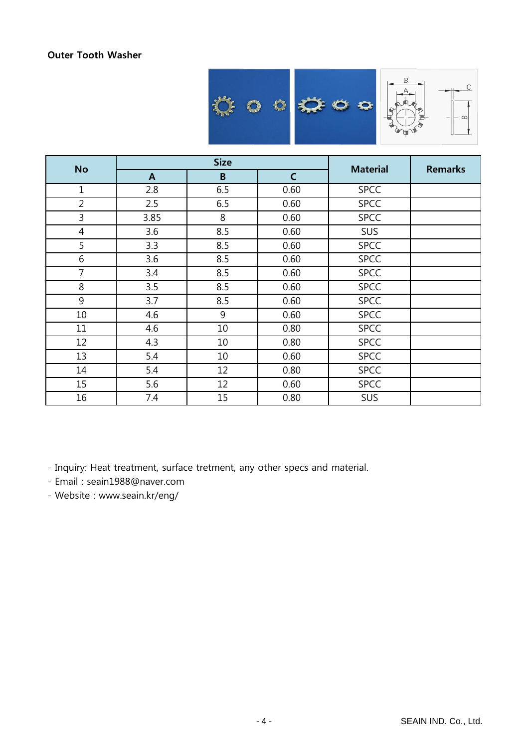### Outer Tooth Washer



| <b>No</b>        |              | <b>Size</b> | <b>Material</b> | <b>Remarks</b> |  |
|------------------|--------------|-------------|-----------------|----------------|--|
|                  | $\mathbf{A}$ | $\mathsf B$ | $\mathsf{C}$    |                |  |
| $\mathbf{1}$     | 2.8          | 6.5         | 0.60            | <b>SPCC</b>    |  |
| $\overline{2}$   | 2.5          | 6.5         | 0.60            | <b>SPCC</b>    |  |
| 3                | 3.85         | 8           | 0.60            | <b>SPCC</b>    |  |
| $\overline{4}$   | 3.6          | 8.5         | 0.60            | SUS            |  |
| 5                | 3.3          | 8.5         | 0.60            | <b>SPCC</b>    |  |
| $\boldsymbol{6}$ | 3.6          | 8.5         | 0.60            | <b>SPCC</b>    |  |
| 7                | 3.4          | 8.5         | 0.60            | <b>SPCC</b>    |  |
| 8                | 3.5          | 8.5         | 0.60            | <b>SPCC</b>    |  |
| 9                | 3.7          | 8.5         | 0.60            | <b>SPCC</b>    |  |
| $10\,$           | 4.6          | 9           | 0.60            | <b>SPCC</b>    |  |
| 11               | 4.6          | 10          | 0.80            | <b>SPCC</b>    |  |
| 12               | 4.3          | 10          | 0.80            | <b>SPCC</b>    |  |
| 13               | 5.4          | 10          | 0.60            | <b>SPCC</b>    |  |
| 14               | 5.4          | 12          | 0.80            | <b>SPCC</b>    |  |
| 15               | 5.6          | 12          | 0.60            | <b>SPCC</b>    |  |
| 16               | 7.4          | 15          | 0.80            | SUS            |  |

- Inquiry: Heat treatment, surface tretment, any other specs and material.

- Email : seain1988@naver.com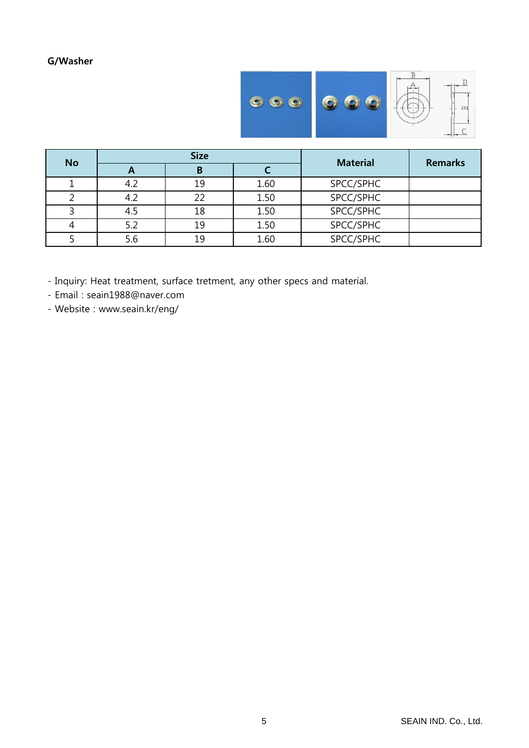G/Washer



| <b>No</b> | <b>Size</b> |    |      | <b>Material</b> | <b>Remarks</b> |
|-----------|-------------|----|------|-----------------|----------------|
|           | Ē           | В  |      |                 |                |
|           | 4.2         | 19 | 1.60 | SPCC/SPHC       |                |
|           | 4.2         | 22 | 1.50 | SPCC/SPHC       |                |
|           | 4.5         | 18 | 1.50 | SPCC/SPHC       |                |
|           | 5.2         | 19 | 1.50 | SPCC/SPHC       |                |
|           | 5.6         | 19 | 1.60 | SPCC/SPHC       |                |

- Inquiry: Heat treatment, surface tretment, any other specs and material.

- Email : seain1988@naver.com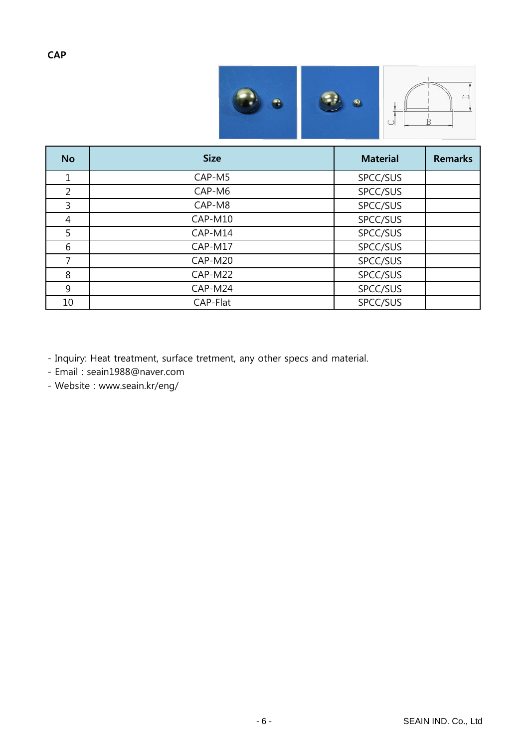

| <b>No</b>      | <b>Size</b> | <b>Material</b> | <b>Remarks</b> |
|----------------|-------------|-----------------|----------------|
| 1              | CAP-M5      | SPCC/SUS        |                |
| $\overline{2}$ | CAP-M6      | SPCC/SUS        |                |
| 3              | CAP-M8      | SPCC/SUS        |                |
| 4              | CAP-M10     | SPCC/SUS        |                |
| 5              | CAP-M14     | SPCC/SUS        |                |
| 6              | CAP-M17     | SPCC/SUS        |                |
| $\overline{7}$ | CAP-M20     | SPCC/SUS        |                |
| 8              | CAP-M22     | SPCC/SUS        |                |
| 9              | CAP-M24     | SPCC/SUS        |                |
| 10             | CAP-Flat    | SPCC/SUS        |                |

- Inquiry: Heat treatment, surface tretment, any other specs and material.

- Email : seain1988@naver.com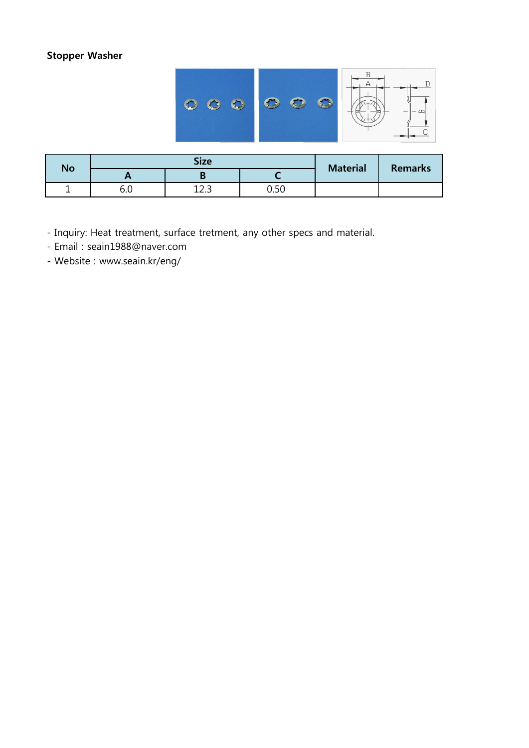## Stopper Washer



| No |     | <b>Size</b> | <b>Material</b> | <b>Remarks</b> |  |
|----|-----|-------------|-----------------|----------------|--|
|    | . . |             |                 |                |  |
|    | v.u | ⊥∠.J        | u.ju            |                |  |

- Inquiry: Heat treatment, surface tretment, any other specs and material.
- Email : seain1988@naver.com
- Website : www.seain.kr/eng/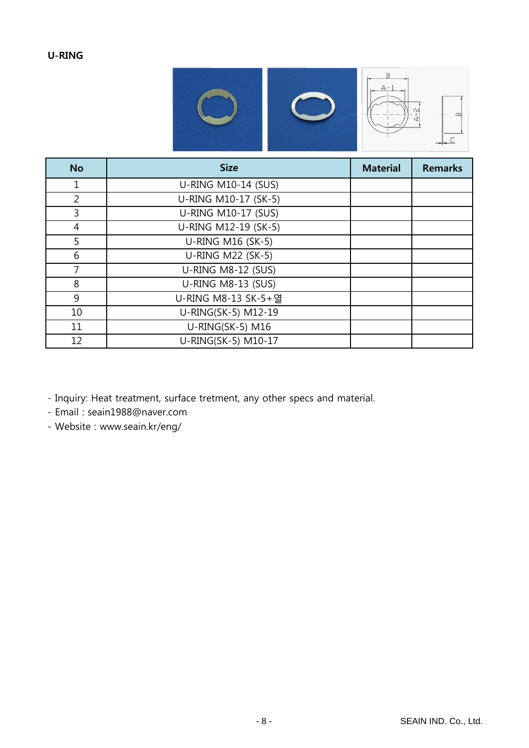# U-RING



| <b>No</b>      | <b>Size</b>              | <b>Material</b> | <b>Remarks</b> |
|----------------|--------------------------|-----------------|----------------|
| 1              | U-RING M10-14 (SUS)      |                 |                |
| $\overline{2}$ | U-RING M10-17 (SK-5)     |                 |                |
| 3              | U-RING M10-17 (SUS)      |                 |                |
| $\overline{4}$ | U-RING M12-19 (SK-5)     |                 |                |
| 5              | U-RING M16 (SK-5)        |                 |                |
| 6              | <b>U-RING M22 (SK-5)</b> |                 |                |
| 7              | U-RING M8-12 (SUS)       |                 |                |
| 8              | U-RING M8-13 (SUS)       |                 |                |
| 9              | U-RING M8-13 SK-5+ 열     |                 |                |
| 10             | U-RING(SK-5) M12-19      |                 |                |
| 11             | U-RING(SK-5) M16         |                 |                |
| 12             | U-RING(SK-5) M10-17      |                 |                |

- Inquiry: Heat treatment, surface tretment, any other specs and material.

- Email : seain1988@naver.com